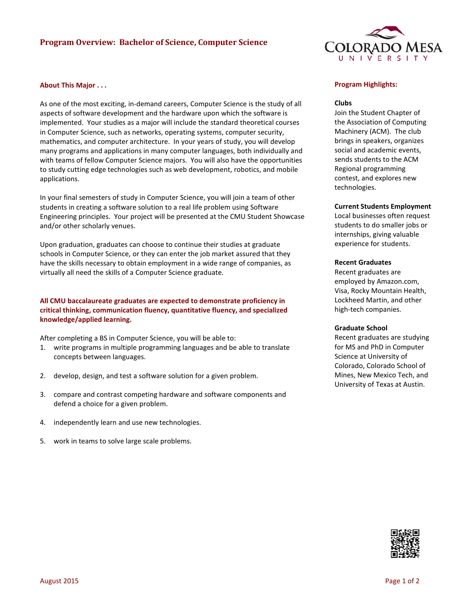# **Program Overview: Bachelor of Science, Computer Science**



### **About This Major . . .**

As one of the most exciting, in-demand careers, Computer Science is the study of all aspects of software development and the hardware upon which the software is implemented. Your studies as a major will include the standard theoretical courses in Computer Science, such as networks, operating systems, computer security, mathematics, and computer architecture. In your years of study, you will develop many programs and applications in many computer languages, both individually and with teams of fellow Computer Science majors. You will also have the opportunities to study cutting edge technologies such as web development, robotics, and mobile applications.

In your final semesters of study in Computer Science, you will join a team of other students in creating a software solution to a real life problem using Software Engineering principles. Your project will be presented at the CMU Student Showcase and/or other scholarly venues.

Upon graduation, graduates can choose to continue their studies at graduate schools in Computer Science, or they can enter the job market assured that they have the skills necessary to obtain employment in a wide range of companies, as virtually all need the skills of a Computer Science graduate.

# **All CMU baccalaureate graduates are expected to demonstrate proficiency in critical thinking, communication fluency, quantitative fluency, and specialized knowledge/applied learning.**

After completing a BS in Computer Science, you will be able to:

- 1. write programs in multiple programming languages and be able to translate concepts between languages.
- 2. develop, design, and test a software solution for a given problem.
- 3. compare and contrast competing hardware and software components and defend a choice for a given problem.
- 4. independently learn and use new technologies.
- 5. work in teams to solve large scale problems.

#### **Program Highlights:**

#### **Clubs**

Join the Student Chapter of the Association of Computing Machinery (ACM). The club brings in speakers, organizes social and academic events, sends students to the ACM Regional programming contest, and explores new technologies.

#### **Current Students Employment**

Local businesses often request students to do smaller jobs or internships, giving valuable experience for students.

#### **Recent Graduates**

Recent graduates are employed by Amazon.com, Visa, Rocky Mountain Health, Lockheed Martin, and other high-tech companies.

#### **Graduate School**

Recent graduates are studying for MS and PhD in Computer Science at University of Colorado, Colorado School of Mines, New Mexico Tech, and University of Texas at Austin.